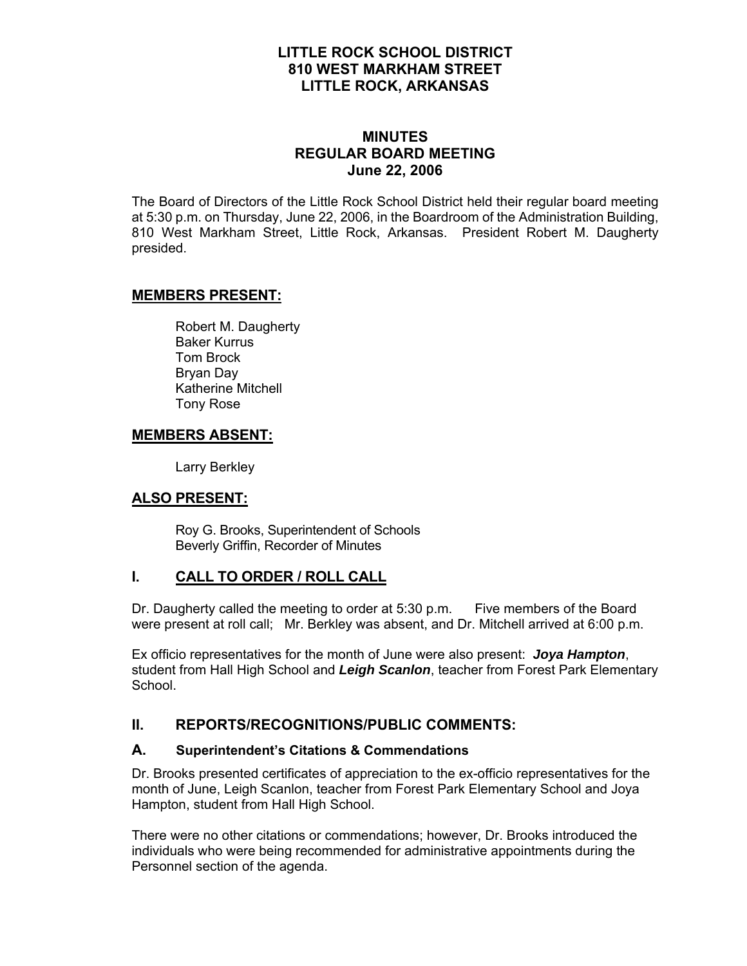# **LITTLE ROCK SCHOOL DISTRICT 810 WEST MARKHAM STREET LITTLE ROCK, ARKANSAS**

# **MINUTES REGULAR BOARD MEETING June 22, 2006**

The Board of Directors of the Little Rock School District held their regular board meeting at 5:30 p.m. on Thursday, June 22, 2006, in the Boardroom of the Administration Building, 810 West Markham Street, Little Rock, Arkansas. President Robert M. Daugherty presided.

## **MEMBERS PRESENT:**

Robert M. Daugherty Baker Kurrus Tom Brock Bryan Day Katherine Mitchell Tony Rose

# **MEMBERS ABSENT:**

Larry Berkley

# **ALSO PRESENT:**

 Roy G. Brooks, Superintendent of Schools Beverly Griffin, Recorder of Minutes

# **I. CALL TO ORDER / ROLL CALL**

Dr. Daugherty called the meeting to order at 5:30 p.m. Five members of the Board were present at roll call; Mr. Berkley was absent, and Dr. Mitchell arrived at 6:00 p.m.

Ex officio representatives for the month of June were also present: *Joya Hampton*, student from Hall High School and *Leigh Scanlon*, teacher from Forest Park Elementary School.

# **II. REPORTS/RECOGNITIONS/PUBLIC COMMENTS:**

#### **A. Superintendent's Citations & Commendations**

Dr. Brooks presented certificates of appreciation to the ex-officio representatives for the month of June, Leigh Scanlon, teacher from Forest Park Elementary School and Joya Hampton, student from Hall High School.

There were no other citations or commendations; however, Dr. Brooks introduced the individuals who were being recommended for administrative appointments during the Personnel section of the agenda.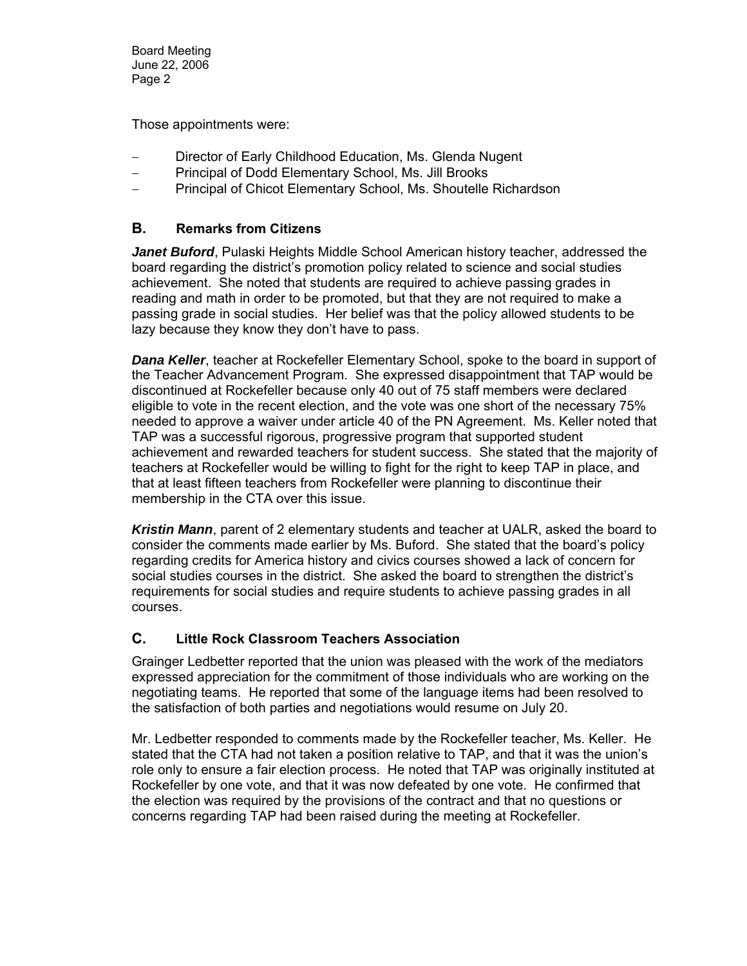Those appointments were:

- Director of Early Childhood Education, Ms. Glenda Nugent
- Principal of Dodd Elementary School, Ms. Jill Brooks
- Principal of Chicot Elementary School, Ms. Shoutelle Richardson

## **B. Remarks from Citizens**

*Janet Buford*, Pulaski Heights Middle School American history teacher, addressed the board regarding the district's promotion policy related to science and social studies achievement. She noted that students are required to achieve passing grades in reading and math in order to be promoted, but that they are not required to make a passing grade in social studies. Her belief was that the policy allowed students to be lazy because they know they don't have to pass.

*Dana Keller*, teacher at Rockefeller Elementary School, spoke to the board in support of the Teacher Advancement Program. She expressed disappointment that TAP would be discontinued at Rockefeller because only 40 out of 75 staff members were declared eligible to vote in the recent election, and the vote was one short of the necessary 75% needed to approve a waiver under article 40 of the PN Agreement. Ms. Keller noted that TAP was a successful rigorous, progressive program that supported student achievement and rewarded teachers for student success. She stated that the majority of teachers at Rockefeller would be willing to fight for the right to keep TAP in place, and that at least fifteen teachers from Rockefeller were planning to discontinue their membership in the CTA over this issue.

*Kristin Mann*, parent of 2 elementary students and teacher at UALR, asked the board to consider the comments made earlier by Ms. Buford. She stated that the board's policy regarding credits for America history and civics courses showed a lack of concern for social studies courses in the district. She asked the board to strengthen the district's requirements for social studies and require students to achieve passing grades in all courses.

# **C. Little Rock Classroom Teachers Association**

Grainger Ledbetter reported that the union was pleased with the work of the mediators expressed appreciation for the commitment of those individuals who are working on the negotiating teams. He reported that some of the language items had been resolved to the satisfaction of both parties and negotiations would resume on July 20.

Mr. Ledbetter responded to comments made by the Rockefeller teacher, Ms. Keller. He stated that the CTA had not taken a position relative to TAP, and that it was the union's role only to ensure a fair election process. He noted that TAP was originally instituted at Rockefeller by one vote, and that it was now defeated by one vote. He confirmed that the election was required by the provisions of the contract and that no questions or concerns regarding TAP had been raised during the meeting at Rockefeller.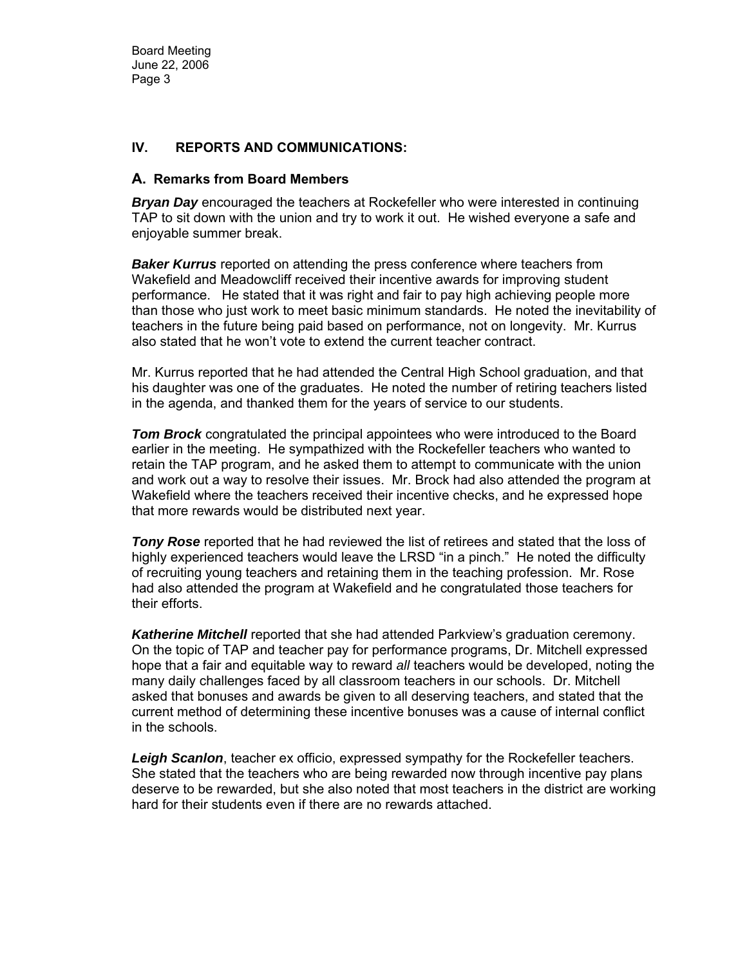#### **IV. REPORTS AND COMMUNICATIONS:**

#### **A. Remarks from Board Members**

*Bryan Day* encouraged the teachers at Rockefeller who were interested in continuing TAP to sit down with the union and try to work it out. He wished everyone a safe and enjoyable summer break.

**Baker Kurrus** reported on attending the press conference where teachers from Wakefield and Meadowcliff received their incentive awards for improving student performance. He stated that it was right and fair to pay high achieving people more than those who just work to meet basic minimum standards. He noted the inevitability of teachers in the future being paid based on performance, not on longevity. Mr. Kurrus also stated that he won't vote to extend the current teacher contract.

Mr. Kurrus reported that he had attended the Central High School graduation, and that his daughter was one of the graduates. He noted the number of retiring teachers listed in the agenda, and thanked them for the years of service to our students.

*Tom Brock* congratulated the principal appointees who were introduced to the Board earlier in the meeting. He sympathized with the Rockefeller teachers who wanted to retain the TAP program, and he asked them to attempt to communicate with the union and work out a way to resolve their issues. Mr. Brock had also attended the program at Wakefield where the teachers received their incentive checks, and he expressed hope that more rewards would be distributed next year.

*Tony Rose* reported that he had reviewed the list of retirees and stated that the loss of highly experienced teachers would leave the LRSD "in a pinch." He noted the difficulty of recruiting young teachers and retaining them in the teaching profession. Mr. Rose had also attended the program at Wakefield and he congratulated those teachers for their efforts.

*Katherine Mitchell* reported that she had attended Parkview's graduation ceremony. On the topic of TAP and teacher pay for performance programs, Dr. Mitchell expressed hope that a fair and equitable way to reward *all* teachers would be developed, noting the many daily challenges faced by all classroom teachers in our schools. Dr. Mitchell asked that bonuses and awards be given to all deserving teachers, and stated that the current method of determining these incentive bonuses was a cause of internal conflict in the schools.

*Leigh Scanlon*, teacher ex officio, expressed sympathy for the Rockefeller teachers. She stated that the teachers who are being rewarded now through incentive pay plans deserve to be rewarded, but she also noted that most teachers in the district are working hard for their students even if there are no rewards attached.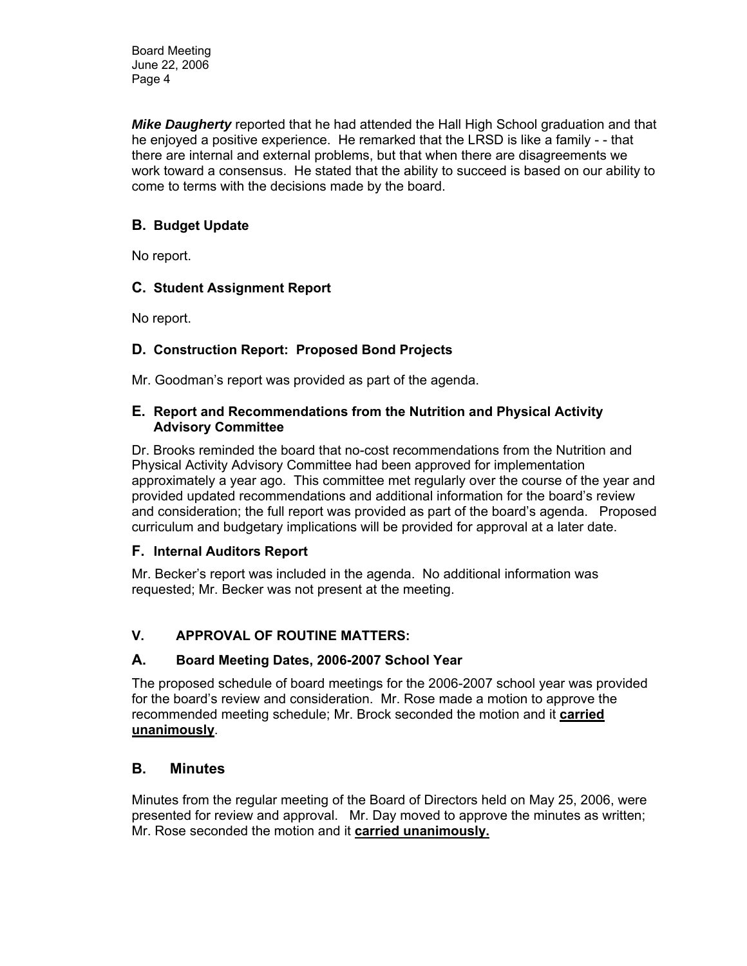*Mike Daugherty* reported that he had attended the Hall High School graduation and that he enjoyed a positive experience. He remarked that the LRSD is like a family - - that there are internal and external problems, but that when there are disagreements we work toward a consensus. He stated that the ability to succeed is based on our ability to come to terms with the decisions made by the board.

# **B. Budget Update**

No report.

## **C. Student Assignment Report**

No report.

# **D. Construction Report: Proposed Bond Projects**

Mr. Goodman's report was provided as part of the agenda.

#### **E. Report and Recommendations from the Nutrition and Physical Activity Advisory Committee**

Dr. Brooks reminded the board that no-cost recommendations from the Nutrition and Physical Activity Advisory Committee had been approved for implementation approximately a year ago. This committee met regularly over the course of the year and provided updated recommendations and additional information for the board's review and consideration; the full report was provided as part of the board's agenda. Proposed curriculum and budgetary implications will be provided for approval at a later date.

#### **F. Internal Auditors Report**

Mr. Becker's report was included in the agenda. No additional information was requested; Mr. Becker was not present at the meeting.

# **V. APPROVAL OF ROUTINE MATTERS:**

#### **A. Board Meeting Dates, 2006-2007 School Year**

The proposed schedule of board meetings for the 2006-2007 school year was provided for the board's review and consideration. Mr. Rose made a motion to approve the recommended meeting schedule; Mr. Brock seconded the motion and it **carried unanimously**.

# **B. Minutes**

Minutes from the regular meeting of the Board of Directors held on May 25, 2006, were presented for review and approval. Mr. Day moved to approve the minutes as written; Mr. Rose seconded the motion and it **carried unanimously.**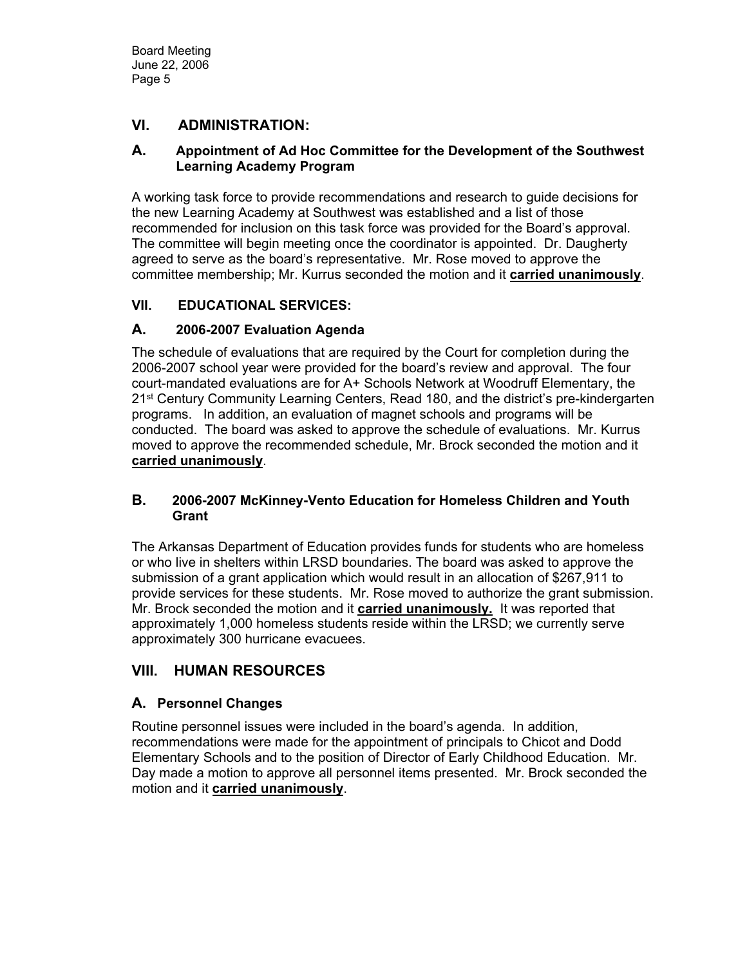# **VI. ADMINISTRATION:**

#### **A. Appointment of Ad Hoc Committee for the Development of the Southwest Learning Academy Program**

A working task force to provide recommendations and research to guide decisions for the new Learning Academy at Southwest was established and a list of those recommended for inclusion on this task force was provided for the Board's approval. The committee will begin meeting once the coordinator is appointed. Dr. Daugherty agreed to serve as the board's representative. Mr. Rose moved to approve the committee membership; Mr. Kurrus seconded the motion and it **carried unanimously**.

## **VII. EDUCATIONAL SERVICES:**

## **A. 2006-2007 Evaluation Agenda**

The schedule of evaluations that are required by the Court for completion during the 2006-2007 school year were provided for the board's review and approval. The four court-mandated evaluations are for A+ Schools Network at Woodruff Elementary, the 21<sup>st</sup> Century Community Learning Centers, Read 180, and the district's pre-kindergarten programs. In addition, an evaluation of magnet schools and programs will be conducted. The board was asked to approve the schedule of evaluations. Mr. Kurrus moved to approve the recommended schedule, Mr. Brock seconded the motion and it **carried unanimously**.

#### **B. 2006-2007 McKinney-Vento Education for Homeless Children and Youth Grant**

The Arkansas Department of Education provides funds for students who are homeless or who live in shelters within LRSD boundaries. The board was asked to approve the submission of a grant application which would result in an allocation of \$267,911 to provide services for these students. Mr. Rose moved to authorize the grant submission. Mr. Brock seconded the motion and it **carried unanimously.** It was reported that approximately 1,000 homeless students reside within the LRSD; we currently serve approximately 300 hurricane evacuees.

# **VIII. HUMAN RESOURCES**

# **A. Personnel Changes**

Routine personnel issues were included in the board's agenda. In addition, recommendations were made for the appointment of principals to Chicot and Dodd Elementary Schools and to the position of Director of Early Childhood Education. Mr. Day made a motion to approve all personnel items presented. Mr. Brock seconded the motion and it **carried unanimously**.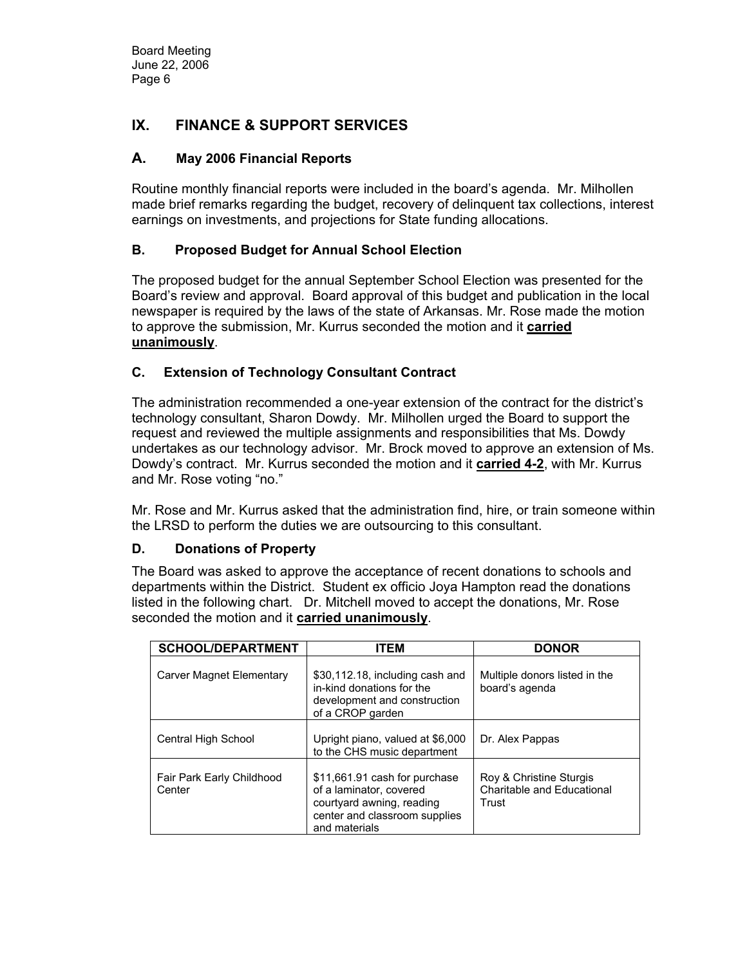# **IX. FINANCE & SUPPORT SERVICES**

## **A. May 2006 Financial Reports**

Routine monthly financial reports were included in the board's agenda. Mr. Milhollen made brief remarks regarding the budget, recovery of delinquent tax collections, interest earnings on investments, and projections for State funding allocations.

## **B. Proposed Budget for Annual School Election**

The proposed budget for the annual September School Election was presented for the Board's review and approval. Board approval of this budget and publication in the local newspaper is required by the laws of the state of Arkansas. Mr. Rose made the motion to approve the submission, Mr. Kurrus seconded the motion and it **carried unanimously**.

## **C. Extension of Technology Consultant Contract**

The administration recommended a one-year extension of the contract for the district's technology consultant, Sharon Dowdy. Mr. Milhollen urged the Board to support the request and reviewed the multiple assignments and responsibilities that Ms. Dowdy undertakes as our technology advisor. Mr. Brock moved to approve an extension of Ms. Dowdy's contract. Mr. Kurrus seconded the motion and it **carried 4-2**, with Mr. Kurrus and Mr. Rose voting "no."

Mr. Rose and Mr. Kurrus asked that the administration find, hire, or train someone within the LRSD to perform the duties we are outsourcing to this consultant.

#### **D. Donations of Property**

The Board was asked to approve the acceptance of recent donations to schools and departments within the District. Student ex officio Joya Hampton read the donations listed in the following chart. Dr. Mitchell moved to accept the donations, Mr. Rose seconded the motion and it **carried unanimously**.

| <b>SCHOOL/DEPARTMENT</b>            | <b>ITEM</b>                                                                                                                             | <b>DONOR</b>                                                   |
|-------------------------------------|-----------------------------------------------------------------------------------------------------------------------------------------|----------------------------------------------------------------|
| Carver Magnet Elementary            | \$30,112.18, including cash and<br>in-kind donations for the<br>development and construction<br>of a CROP garden                        | Multiple donors listed in the<br>board's agenda                |
| Central High School                 | Upright piano, valued at \$6,000<br>to the CHS music department                                                                         | Dr. Alex Pappas                                                |
| Fair Park Early Childhood<br>Center | \$11,661.91 cash for purchase<br>of a laminator, covered<br>courtyard awning, reading<br>center and classroom supplies<br>and materials | Roy & Christine Sturgis<br>Charitable and Educational<br>Trust |